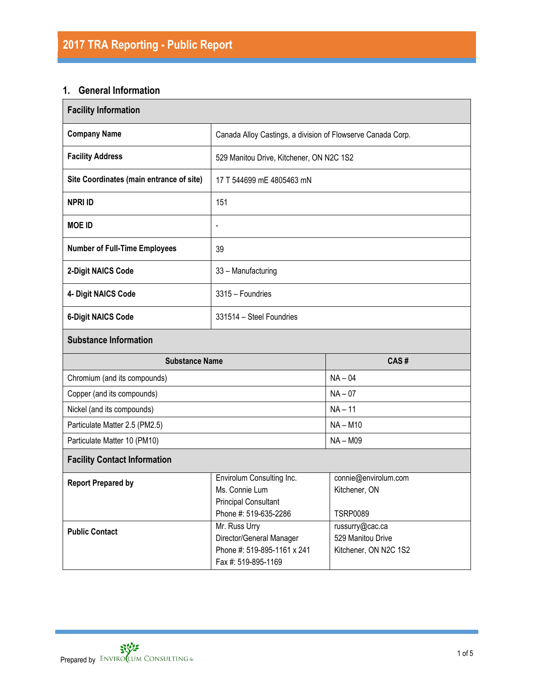# **1. General Information**

| <b>Facility Information</b>                                                                                                      |                                                                                                 |                                                               |  |  |  |  |
|----------------------------------------------------------------------------------------------------------------------------------|-------------------------------------------------------------------------------------------------|---------------------------------------------------------------|--|--|--|--|
| <b>Company Name</b>                                                                                                              | Canada Alloy Castings, a division of Flowserve Canada Corp.                                     |                                                               |  |  |  |  |
| <b>Facility Address</b>                                                                                                          | 529 Manitou Drive, Kitchener, ON N2C 1S2                                                        |                                                               |  |  |  |  |
| Site Coordinates (main entrance of site)                                                                                         | 17 T 544699 mE 4805463 mN                                                                       |                                                               |  |  |  |  |
| <b>NPRI ID</b>                                                                                                                   | 151                                                                                             |                                                               |  |  |  |  |
| <b>MOE ID</b>                                                                                                                    | $\qquad \qquad \blacksquare$                                                                    |                                                               |  |  |  |  |
| <b>Number of Full-Time Employees</b>                                                                                             | 39                                                                                              |                                                               |  |  |  |  |
| 2-Digit NAICS Code                                                                                                               | 33 - Manufacturing                                                                              |                                                               |  |  |  |  |
| 4- Digit NAICS Code                                                                                                              | 3315 - Foundries                                                                                |                                                               |  |  |  |  |
| <b>6-Digit NAICS Code</b>                                                                                                        | 331514 - Steel Foundries                                                                        |                                                               |  |  |  |  |
| <b>Substance Information</b>                                                                                                     |                                                                                                 |                                                               |  |  |  |  |
| <b>Substance Name</b><br>CAS#                                                                                                    |                                                                                                 |                                                               |  |  |  |  |
| Chromium (and its compounds)                                                                                                     |                                                                                                 | $NA - 04$                                                     |  |  |  |  |
| Copper (and its compounds)                                                                                                       |                                                                                                 | $NA - 07$                                                     |  |  |  |  |
| Nickel (and its compounds)                                                                                                       |                                                                                                 | $NA - 11$                                                     |  |  |  |  |
| Particulate Matter 2.5 (PM2.5)                                                                                                   |                                                                                                 | $NA - M10$                                                    |  |  |  |  |
| Particulate Matter 10 (PM10)                                                                                                     |                                                                                                 | <b>NA-M09</b>                                                 |  |  |  |  |
| <b>Facility Contact Information</b>                                                                                              |                                                                                                 |                                                               |  |  |  |  |
| Envirolum Consulting Inc.<br><b>Report Prepared by</b><br>Ms. Connie Lum<br><b>Principal Consultant</b><br>Phone #: 519-635-2286 |                                                                                                 | connie@envirolum.com<br>Kitchener, ON<br><b>TSRP0089</b>      |  |  |  |  |
| <b>Public Contact</b>                                                                                                            | Mr. Russ Urry<br>Director/General Manager<br>Phone #: 519-895-1161 x 241<br>Fax #: 519-895-1169 | russurry@cac.ca<br>529 Manitou Drive<br>Kitchener, ON N2C 1S2 |  |  |  |  |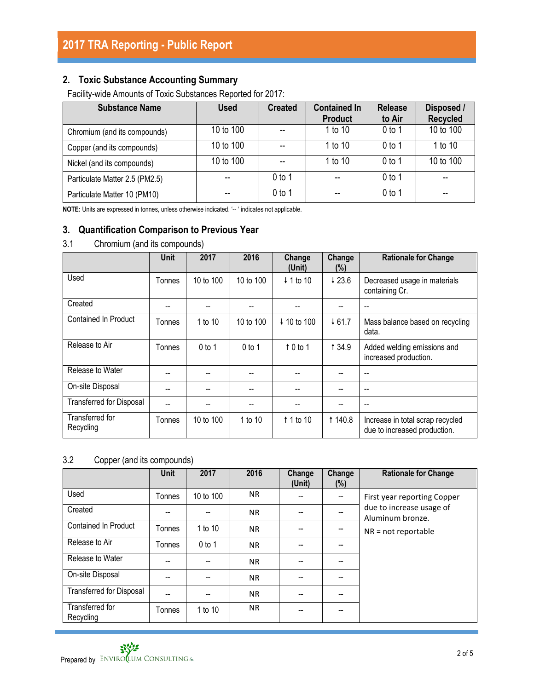### **2. Toxic Substance Accounting Summary**

Facility-wide Amounts of Toxic Substances Reported for 2017:

| <b>Substance Name</b>          | <b>Used</b> | <b>Created</b> | <b>Contained In</b><br><b>Product</b> | <b>Release</b><br>to Air | Disposed /<br><b>Recycled</b> |
|--------------------------------|-------------|----------------|---------------------------------------|--------------------------|-------------------------------|
| Chromium (and its compounds)   | 10 to 100   |                | 1 to 10                               | $0$ to 1                 | 10 to 100                     |
| Copper (and its compounds)     | 10 to 100   |                | 1 to 10                               | $0$ to 1                 | 1 to 10                       |
| Nickel (and its compounds)     | 10 to 100   |                | 1 to 10                               | 0 <sub>to 1</sub>        | 10 to 100                     |
| Particulate Matter 2.5 (PM2.5) | --          | $0$ to 1       | --                                    | $0$ to 1                 | --                            |
| Particulate Matter 10 (PM10)   |             | $0$ to 1       |                                       | $0$ to 1                 | --                            |

**NOTE:** Units are expressed in tonnes, unless otherwise indicated. '-- ' indicates not applicable.

### **3. Quantification Comparison to Previous Year**

3.1 Chromium (and its compounds)

|                                 | Unit   | 2017      | 2016      | Change<br>(Unit)   | Change<br>(%)     | <b>Rationale for Change</b>                                      |
|---------------------------------|--------|-----------|-----------|--------------------|-------------------|------------------------------------------------------------------|
| Used                            | Tonnes | 10 to 100 | 10 to 100 | ↓ 1 to 10          | $\downarrow$ 23.6 | Decreased usage in materials<br>containing Cr.                   |
| Created                         |        |           |           |                    |                   |                                                                  |
| <b>Contained In Product</b>     | Tonnes | 1 to 10   | 10 to 100 | ↓ 10 to 100        | 461.7             | Mass balance based on recycling<br>data.                         |
| Release to Air                  | Tonnes | $0$ to 1  | $0$ to 1  | $\uparrow$ 0 to 1  | 1 34.9            | Added welding emissions and<br>increased production.             |
| Release to Water                |        |           |           |                    |                   |                                                                  |
| On-site Disposal                |        |           |           |                    |                   |                                                                  |
| <b>Transferred for Disposal</b> |        |           |           |                    |                   |                                                                  |
| Transferred for<br>Recycling    | Tonnes | 10 to 100 | 1 to 10   | $\uparrow$ 1 to 10 | 1 140.8           | Increase in total scrap recycled<br>due to increased production. |

#### 3.2 Copper (and its compounds)

|                                 | <b>Unit</b> | 2017      | 2016      | Change<br>(Unit) | Change<br>$(\%)$ | <b>Rationale for Change</b>                  |
|---------------------------------|-------------|-----------|-----------|------------------|------------------|----------------------------------------------|
| Used                            | Tonnes      | 10 to 100 | <b>NR</b> | --               | --               | First year reporting Copper                  |
| Created                         | --          | --        | <b>NR</b> | --               |                  | due to increase usage of<br>Aluminum bronze. |
| Contained In Product            | Tonnes      | 1 to 10   | <b>NR</b> | --               | --               | $NR = not reportable$                        |
| Release to Air                  | Tonnes      | $0$ to 1  | NR.       | --               | --               |                                              |
| Release to Water                |             | --        | <b>NR</b> |                  |                  |                                              |
| On-site Disposal                | --          | $-$       | <b>NR</b> | --               | --               |                                              |
| <b>Transferred for Disposal</b> | --          | --        | <b>NR</b> | --               | --               |                                              |
| Transferred for<br>Recycling    | Tonnes      | 1 to 10   | <b>NR</b> |                  |                  |                                              |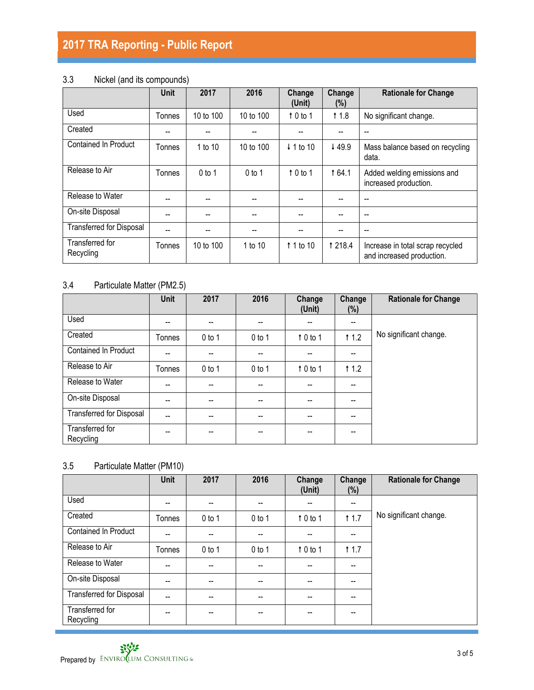# **2017 TRA Reporting - Public Report**

## 3.3 Nickel (and its compounds)

|                                 | <b>Unit</b> | 2017      | 2016      | Change<br>(Unit)     | Change<br>(%) | <b>Rationale for Change</b>                                   |
|---------------------------------|-------------|-----------|-----------|----------------------|---------------|---------------------------------------------------------------|
| Used                            | Tonnes      | 10 to 100 | 10 to 100 | $\uparrow$ 0 to 1    | 11.8          | No significant change.                                        |
| Created                         |             |           |           |                      |               |                                                               |
| <b>Contained In Product</b>     | Tonnes      | 1 to 10   | 10 to 100 | $\downarrow$ 1 to 10 | ↓49.9         | Mass balance based on recycling<br>data.                      |
| Release to Air                  | Tonnes      | $0$ to 1  | $0$ to 1  | $\uparrow$ 0 to 1    | <b>164.1</b>  | Added welding emissions and<br>increased production.          |
| Release to Water                |             | --        | --        |                      |               |                                                               |
| On-site Disposal                | --          | --        |           |                      |               | --                                                            |
| <b>Transferred for Disposal</b> |             | --        | --        | --                   |               | --                                                            |
| Transferred for<br>Recycling    | Tonnes      | 10 to 100 | 1 to 10   | $\uparrow$ 1 to 10   | 1 218.4       | Increase in total scrap recycled<br>and increased production. |

# 3.4 Particulate Matter (PM2.5)

|                                 | <b>Unit</b> | 2017     | 2016                                  | Change<br>(Unit)  | Change<br>$(\%)$                      | <b>Rationale for Change</b> |
|---------------------------------|-------------|----------|---------------------------------------|-------------------|---------------------------------------|-----------------------------|
| Used                            | --          | $- -$    | $- -$                                 | --                | $\overline{\phantom{a}}$              |                             |
| Created                         | Tonnes      | $0$ to 1 | $0$ to 1                              | $\uparrow$ 0 to 1 | † 1.2                                 | No significant change.      |
| <b>Contained In Product</b>     | --          | --       | $\hspace{0.05cm}$ – $\hspace{0.05cm}$ | --                | $-$                                   |                             |
| Release to Air                  | Tonnes      | $0$ to 1 | $0$ to 1                              | $\uparrow$ 0 to 1 | † 1.2                                 |                             |
| Release to Water                | --          | $-$      | $\overline{\phantom{a}}$              | --                | $-$                                   |                             |
| On-site Disposal                | --          | --       |                                       | --                | $\overline{\phantom{a}}$              |                             |
| <b>Transferred for Disposal</b> | $-$         | --       | --                                    | --                | $\hspace{0.05cm}$ – $\hspace{0.05cm}$ |                             |
| Transferred for<br>Recycling    | --          | --       | $- -$                                 | --                | --                                    |                             |

### 3.5 Particulate Matter (PM10)

|                                 | <b>Unit</b>    | 2017     | 2016     | Change<br>(Unit) | Change<br>$(\%)$                      | <b>Rationale for Change</b> |
|---------------------------------|----------------|----------|----------|------------------|---------------------------------------|-----------------------------|
| Used                            | --             | $- -$    | --       | --               | $- -$                                 |                             |
| Created                         | Tonnes         | $0$ to 1 | $0$ to 1 | 10 to 1          | † 1.7                                 | No significant change.      |
| <b>Contained In Product</b>     | --             | $-$      | --       | --               | $\hspace{0.05cm}$ – $\hspace{0.05cm}$ |                             |
| Release to Air                  | Tonnes         | $0$ to 1 | $0$ to 1 | $10$ to 1        | † 1.7                                 |                             |
| Release to Water                | $\overline{a}$ | --       | --       | --               | --                                    |                             |
| On-site Disposal                | --             | --       | --       | --               | --                                    |                             |
| <b>Transferred for Disposal</b> | $-$            | $- -$    | --       | --               | $- -$                                 |                             |
| Transferred for<br>Recycling    | --             | --       |          |                  | --                                    |                             |

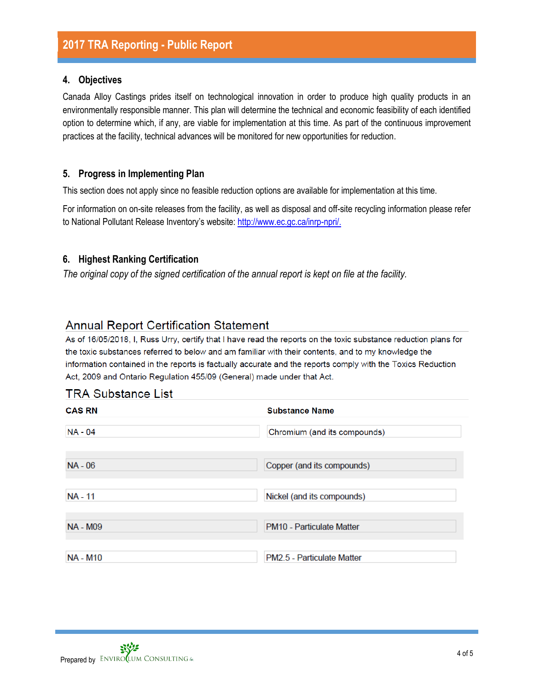#### **4. Objectives**

Canada Alloy Castings prides itself on technological innovation in order to produce high quality products in an environmentally responsible manner. This plan will determine the technical and economic feasibility of each identified option to determine which, if any, are viable for implementation at this time. As part of the continuous improvement practices at the facility, technical advances will be monitored for new opportunities for reduction.

#### **5. Progress in Implementing Plan**

This section does not apply since no feasible reduction options are available for implementation at this time.

For information on on-site releases from the facility, as well as disposal and off-site recycling information please refer to National Pollutant Release Inventory's website: [http://www.ec.gc.ca/inrp-npri/.](http://www.ec.gc.ca/inrp-npri/)

#### **6. Highest Ranking Certification**

*The original copy of the signed certification of the annual report is kept on file at the facility.*

# **Annual Report Certification Statement**

As of 16/05/2018, I, Russ Urry, certify that I have read the reports on the toxic substance reduction plans for the toxic substances referred to below and am familiar with their contents, and to my knowledge the information contained in the reports is factually accurate and the reports comply with the Toxics Reduction Act, 2009 and Ontario Regulation 455/09 (General) made under that Act.

### **TRA Substance List**

| <b>CAS RN</b>   | <b>Substance Name</b>        |
|-----------------|------------------------------|
| <b>NA - 04</b>  | Chromium (and its compounds) |
| $NA - 06$       | Copper (and its compounds)   |
| <b>NA - 11</b>  | Nickel (and its compounds)   |
| <b>NA - M09</b> | PM10 - Particulate Matter    |
| <b>NA - M10</b> | PM2.5 - Particulate Matter   |